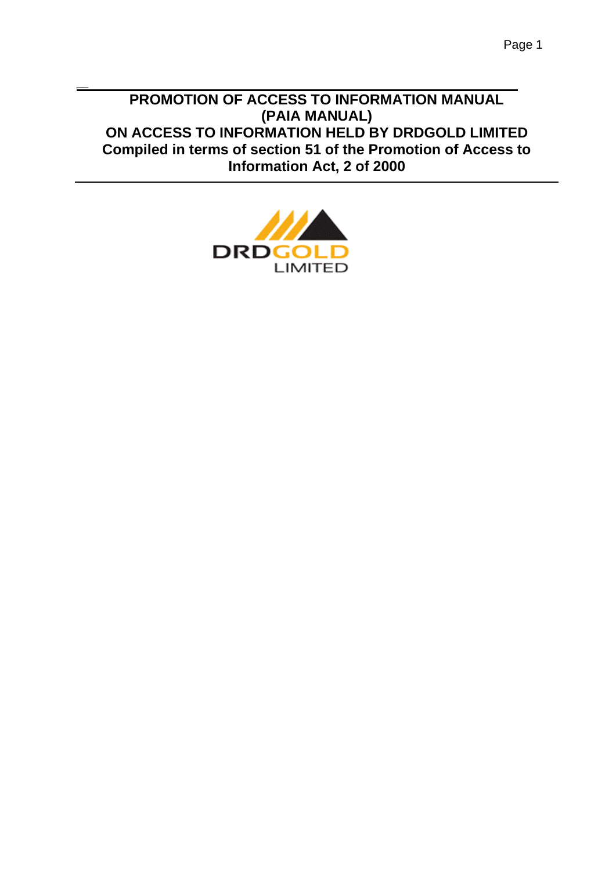# **PROMOTION OF ACCESS TO INFORMATION MANUAL (PAIA MANUAL) ON ACCESS TO INFORMATION HELD BY DRDGOLD LIMITED Compiled in terms of section 51 of the Promotion of Access to Information Act, 2 of 2000**



 $\overline{\phantom{0}}$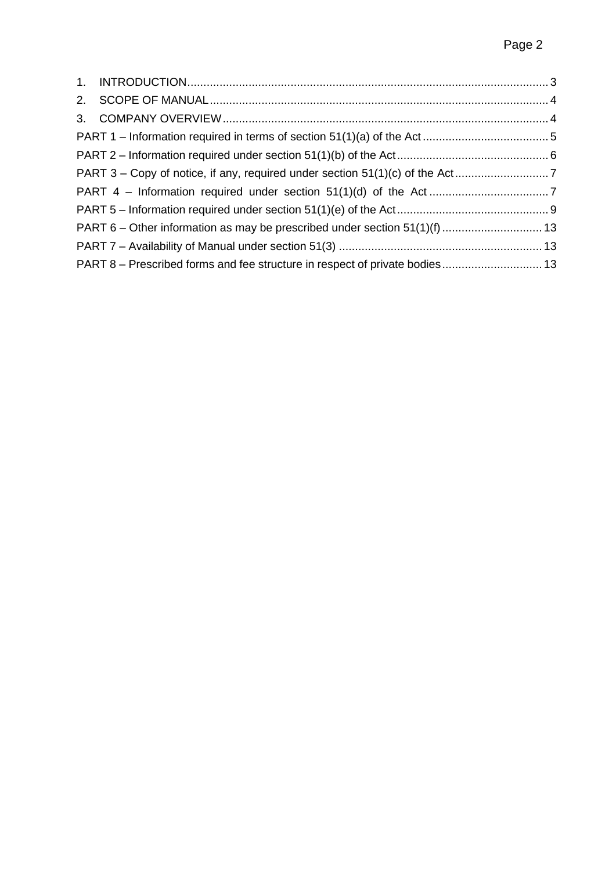| PART 8 - Prescribed forms and fee structure in respect of private bodies 13 |  |
|-----------------------------------------------------------------------------|--|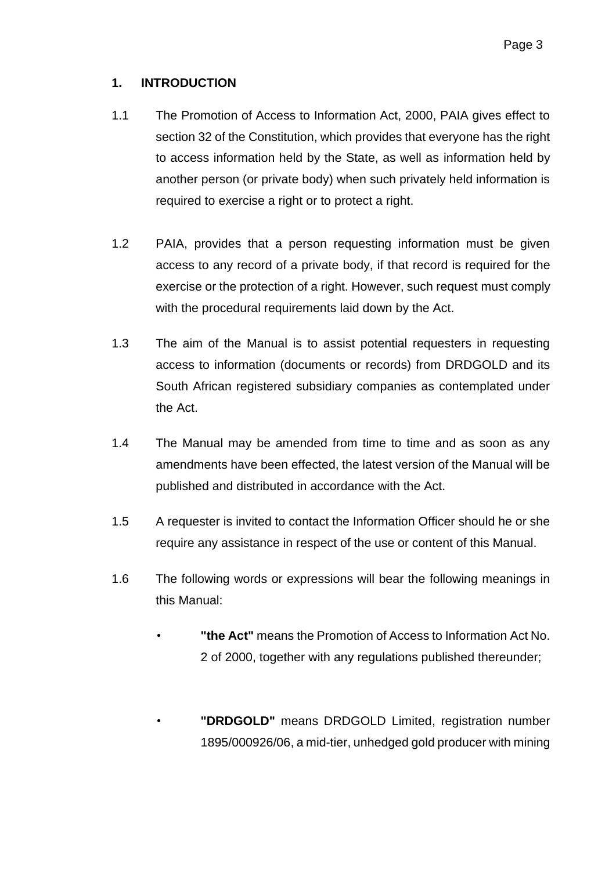## **1. INTRODUCTION**

- 1.1 The Promotion of Access to Information Act, 2000, PAIA gives effect to section 32 of the Constitution, which provides that everyone has the right to access information held by the State, as well as information held by another person (or private body) when such privately held information is required to exercise a right or to protect a right.
- 1.2 PAIA, provides that a person requesting information must be given access to any record of a private body, if that record is required for the exercise or the protection of a right. However, such request must comply with the procedural requirements laid down by the Act.
- 1.3 The aim of the Manual is to assist potential requesters in requesting access to information (documents or records) from DRDGOLD and its South African registered subsidiary companies as contemplated under the Act.
- 1.4 The Manual may be amended from time to time and as soon as any amendments have been effected, the latest version of the Manual will be published and distributed in accordance with the Act.
- 1.5 A requester is invited to contact the Information Officer should he or she require any assistance in respect of the use or content of this Manual.
- 1.6 The following words or expressions will bear the following meanings in this Manual:
	- **"the Act"** means the Promotion of Access to Information Act No. 2 of 2000, together with any regulations published thereunder;
	- **"DRDGOLD"** means DRDGOLD Limited, registration number 1895/000926/06, a mid-tier, unhedged gold producer with mining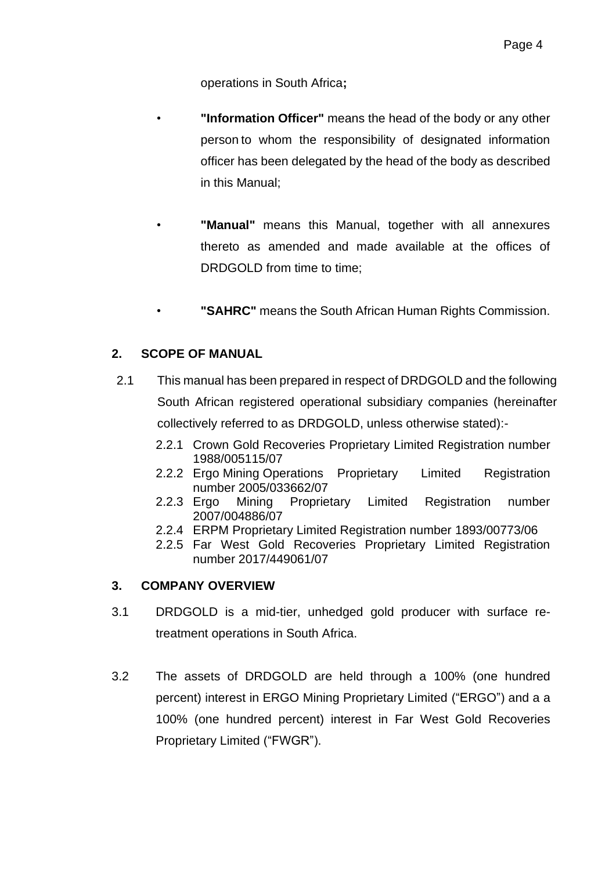operations in South Africa**;**

- **"Information Officer"** means the head of the body or any other person to whom the responsibility of designated information officer has been delegated by the head of the body as described in this Manual;
- **"Manual"** means this Manual, together with all annexures thereto as amended and made available at the offices of DRDGOLD from time to time;
- **"SAHRC"** means the South African Human Rights Commission.

## **2. SCOPE OF MANUAL**

- 2.1 This manual has been prepared in respect of DRDGOLD and the following South African registered operational subsidiary companies (hereinafter collectively referred to as DRDGOLD, unless otherwise stated):-
	- 2.2.1 Crown Gold Recoveries Proprietary Limited Registration number 1988/005115/07
	- 2.2.2 Ergo Mining Operations Proprietary Limited Registration number 2005/033662/07
	- 2.2.3 Ergo Mining Proprietary Limited Registration number 2007/004886/07
	- 2.2.4 ERPM Proprietary Limited Registration number 1893/00773/06
	- 2.2.5 Far West Gold Recoveries Proprietary Limited Registration number 2017/449061/07

#### **3. COMPANY OVERVIEW**

- 3.1 DRDGOLD is a mid-tier, unhedged gold producer with surface retreatment operations in South Africa.
- 3.2 The assets of DRDGOLD are held through a 100% (one hundred percent) interest in ERGO Mining Proprietary Limited ("ERGO") and a a 100% (one hundred percent) interest in Far West Gold Recoveries Proprietary Limited ("FWGR").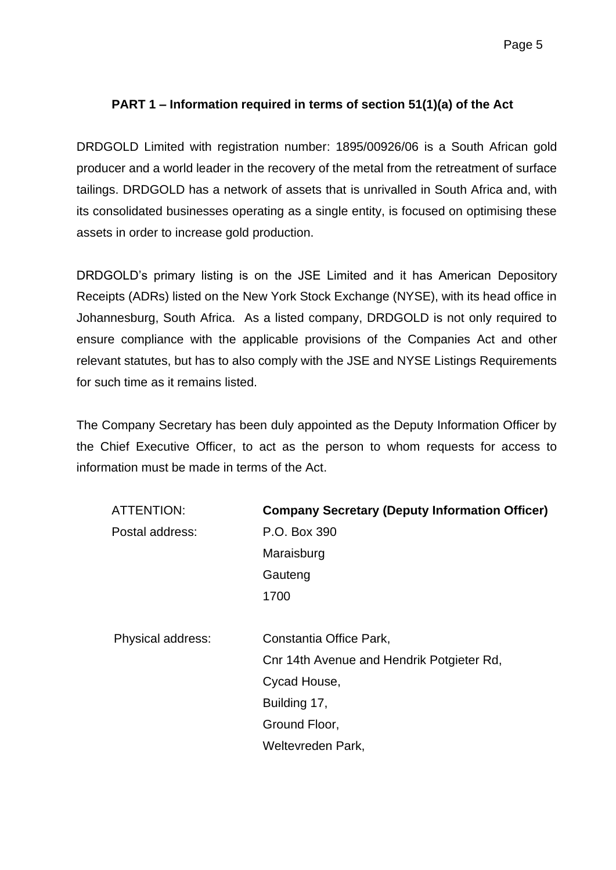# **PART 1 – Information required in terms of section 51(1)(a) of the Act**

DRDGOLD Limited with registration number: 1895/00926/06 is a South African gold producer and a world leader in the recovery of the metal from the retreatment of surface tailings. DRDGOLD has a network of assets that is unrivalled in South Africa and, with its consolidated businesses operating as a single entity, is focused on optimising these assets in order to increase gold production.

DRDGOLD's primary listing is on the JSE Limited and it has American Depository Receipts (ADRs) listed on the New York Stock Exchange (NYSE), with its head office in Johannesburg, South Africa. As a listed company, DRDGOLD is not only required to ensure compliance with the applicable provisions of the Companies Act and other relevant statutes, but has to also comply with the JSE and NYSE Listings Requirements for such time as it remains listed.

The Company Secretary has been duly appointed as the Deputy Information Officer by the Chief Executive Officer, to act as the person to whom requests for access to information must be made in terms of the Act.

| ATTENTION:        | <b>Company Secretary (Deputy Information Officer)</b> |  |  |  |
|-------------------|-------------------------------------------------------|--|--|--|
| Postal address:   | P.O. Box 390                                          |  |  |  |
|                   | Maraisburg                                            |  |  |  |
|                   | Gauteng                                               |  |  |  |
|                   | 1700                                                  |  |  |  |
| Physical address: | Constantia Office Park,                               |  |  |  |
|                   | Cnr 14th Avenue and Hendrik Potgieter Rd,             |  |  |  |
|                   | Cycad House,                                          |  |  |  |
|                   | Building 17,                                          |  |  |  |
|                   | Ground Floor,                                         |  |  |  |
|                   | Weltevreden Park,                                     |  |  |  |
|                   |                                                       |  |  |  |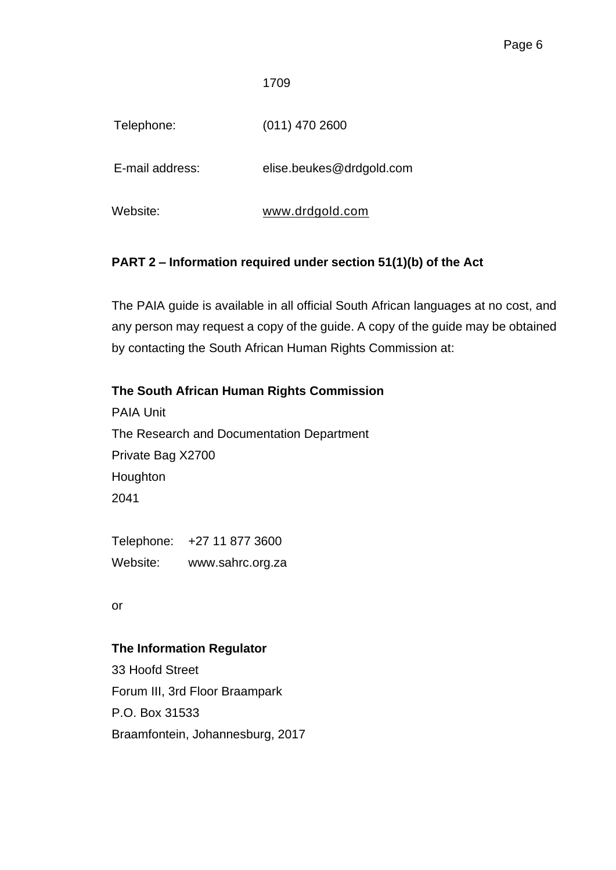1709

Telephone: (011) 470 2600

E-mail address: elise.beukes@drdgold.com

Website: [www.drdgold.com](http://www.drdgold.com/)

## **PART 2 – Information required under section 51(1)(b) of the Act**

The PAIA guide is available in all official South African languages at no cost, and any person may request a copy of the guide. A copy of the guide may be obtained by contacting the South African Human Rights Commission at:

## **The South African Human Rights Commission**

PAIA Unit The Research and Documentation Department Private Bag X2700 Houghton 2041

Telephone: +27 11 877 3600 Website: www.sahrc.org.za

or

#### **The Information Regulator**

33 Hoofd Street Forum III, 3rd Floor Braampark P.O. Box 31533 Braamfontein, Johannesburg, 2017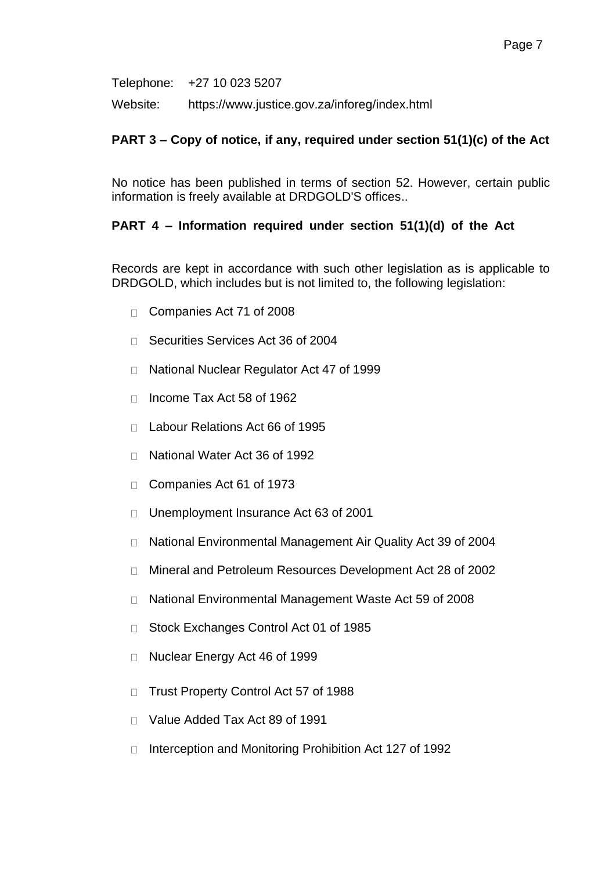Telephone: +27 10 023 5207

Website: https://www.justice.gov.za/inforeg/index.html

### **PART 3 – Copy of notice, if any, required under section 51(1)(c) of the Act**

No notice has been published in terms of section 52. However, certain public information is freely available at DRDGOLD'S offices..

### **PART 4 – Information required under section 51(1)(d) of the Act**

Records are kept in accordance with such other legislation as is applicable to DRDGOLD, which includes but is not limited to, the following legislation:

- □ Companies Act 71 of 2008
- □ Securities Services Act 36 of 2004
- National Nuclear Regulator Act 47 of 1999  $\Box$
- $\Box$  Income Tax Act 58 of 1962
- Labour Relations Act 66 of 1995
- □ National Water Act 36 of 1992
- Companies Act 61 of 1973  $\Box$
- Unemployment Insurance Act 63 of 2001  $\Box$
- National Environmental Management Air Quality Act 39 of 2004  $\Box$
- Mineral and Petroleum Resources Development Act 28 of 2002  $\Box$
- National Environmental Management Waste Act 59 of 2008  $\Box$
- □ Stock Exchanges Control Act 01 of 1985
- □ Nuclear Energy Act 46 of 1999
- □ Trust Property Control Act 57 of 1988
- □ Value Added Tax Act 89 of 1991
- Interception and Monitoring Prohibition Act 127 of 1992 $\Box$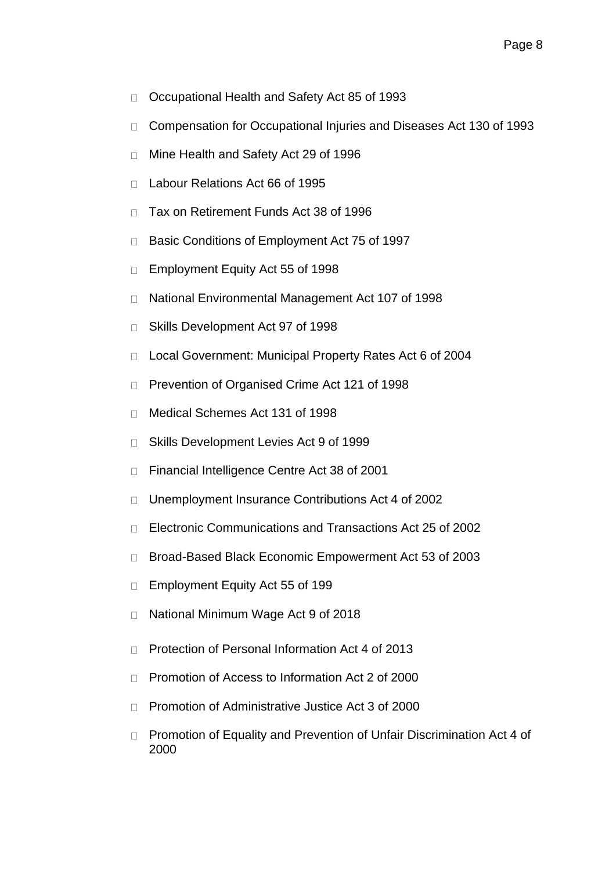- Occupational Health and Safety Act 85 of 1993  $\Box$
- Compensation for Occupational Injuries and Diseases Act 130 of 1993  $\Box$
- Mine Health and Safety Act 29 of 1996  $\Box$
- Labour Relations Act 66 of 1995  $\Box$
- Tax on Retirement Funds Act 38 of 1996  $\Box$
- Basic Conditions of Employment Act 75 of 1997  $\Box$
- Employment Equity Act 55 of 1998  $\Box$
- National Environmental Management Act 107 of 1998  $\Box$
- Skills Development Act 97 of 1998  $\Box$
- Local Government: Municipal Property Rates Act 6 of 2004  $\Box$
- Prevention of Organised Crime Act 121 of 1998  $\Box$
- Medical Schemes Act 131 of 1998  $\Box$
- Skills Development Levies Act 9 of 1999  $\Box$
- Financial Intelligence Centre Act 38 of 2001  $\Box$
- Unemployment Insurance Contributions Act 4 of 2002  $\Box$
- Electronic Communications and Transactions Act 25 of 2002  $\Box$
- Broad-Based Black Economic Empowerment Act 53 of 2003  $\Box$
- Employment Equity Act 55 of 199  $\Box$
- National Minimum Wage Act 9 of 2018  $\Box$
- Protection of Personal Information Act 4 of 2013  $\Box$
- Promotion of Access to Information Act 2 of 2000  $\Box$
- Promotion of Administrative Justice Act 3 of 2000  $\Box$
- Promotion of Equality and Prevention of Unfair Discrimination Act 4 of  $\Box$ 2000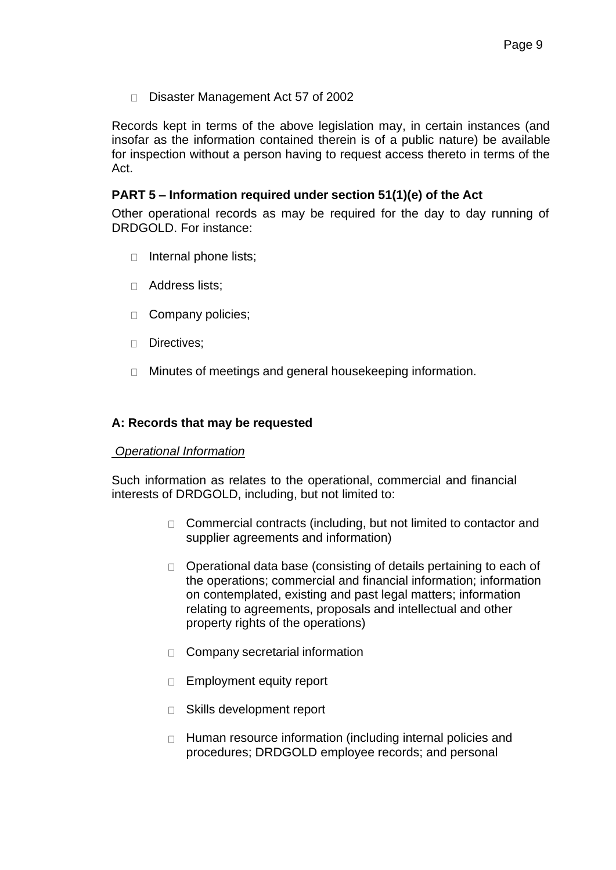Disaster Management Act 57 of 2002

Records kept in terms of the above legislation may, in certain instances (and insofar as the information contained therein is of a public nature) be available for inspection without a person having to request access thereto in terms of the Act.

### **PART 5 – Information required under section 51(1)(e) of the Act**

Other operational records as may be required for the day to day running of DRDGOLD. For instance:

- □ Internal phone lists;
- Address lists;
- Company policies;
- Directives;
- □ Minutes of meetings and general housekeeping information.

#### **A: Records that may be requested**

#### *Operational Information*

Such information as relates to the operational, commercial and financial interests of DRDGOLD, including, but not limited to:

- □ Commercial contracts (including, but not limited to contactor and supplier agreements and information)
- $\Box$  Operational data base (consisting of details pertaining to each of the operations; commercial and financial information; information on contemplated, existing and past legal matters; information relating to agreements, proposals and intellectual and other property rights of the operations)
- □ Company secretarial information
- □ Employment equity report
- □ Skills development report
- □ Human resource information (including internal policies and procedures; DRDGOLD employee records; and personal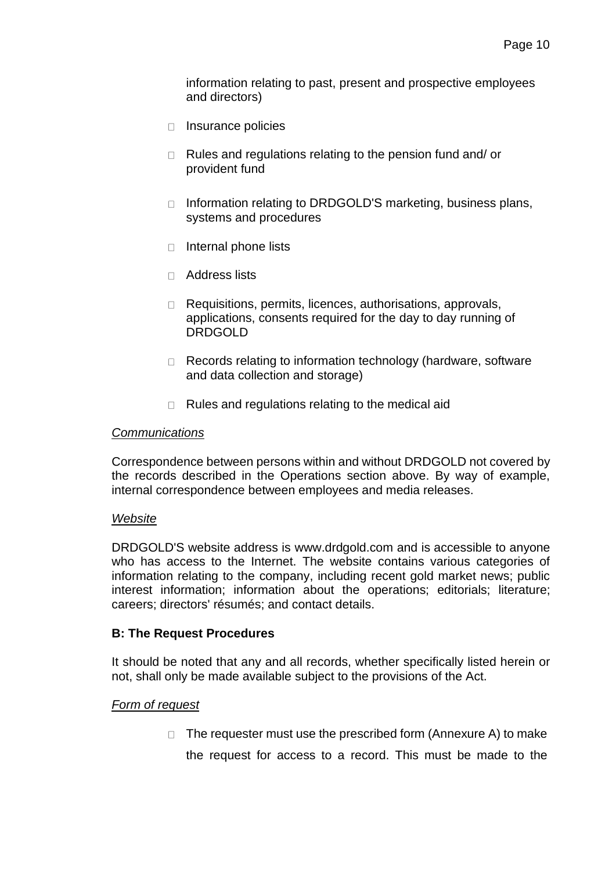information relating to past, present and prospective employees and directors)

- □ Insurance policies
- $\Box$  Rules and regulations relating to the pension fund and/ or provident fund
- □ Information relating to DRDGOLD'S marketing, business plans, systems and procedures
- $\Box$  Internal phone lists
- Address lists
- Requisitions, permits, licences, authorisations, approvals, applications, consents required for the day to day running of DRDGOLD
- □ Records relating to information technology (hardware, software and data collection and storage)
- $\Box$  Rules and regulations relating to the medical aid

#### *Communications*

Correspondence between persons within and without DRDGOLD not covered by the records described in the Operations section above. By way of example, internal correspondence between employees and media releases.

#### *Website*

DRDGOLD'S website address is [www.drdgold.com a](http://www.drdgold.com/)nd is accessible to anyone who has access to the Internet. The website contains various categories of information relating to the company, including recent gold market news; public interest information; information about the operations; editorials; literature; careers; directors' résumés; and contact details.

#### **B: The Request Procedures**

It should be noted that any and all records, whether specifically listed herein or not, shall only be made available subject to the provisions of the Act.

#### *Form of request*

 $\Box$  The requester must use the prescribed form (Annexure A) to make the request for access to a record. This must be made to the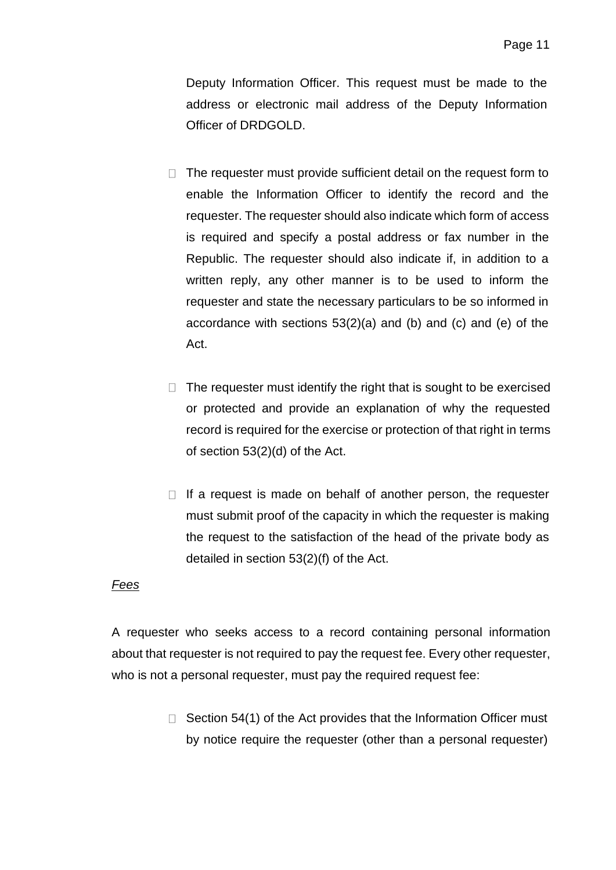Deputy Information Officer. This request must be made to the address or electronic mail address of the Deputy Information Officer of DRDGOLD.

- $\Box$  The requester must provide sufficient detail on the request form to enable the Information Officer to identify the record and the requester. The requester should also indicate which form of access is required and specify a postal address or fax number in the Republic. The requester should also indicate if, in addition to a written reply, any other manner is to be used to inform the requester and state the necessary particulars to be so informed in accordance with sections 53(2)(a) and (b) and (c) and (e) of the Act.
- $\Box$  The requester must identify the right that is sought to be exercised or protected and provide an explanation of why the requested record is required for the exercise or protection of that right in terms of section 53(2)(d) of the Act.
- $\Box$  If a request is made on behalf of another person, the requester must submit proof of the capacity in which the requester is making the request to the satisfaction of the head of the private body as detailed in section 53(2)(f) of the Act.

#### *Fees*

A requester who seeks access to a record containing personal information about that requester is not required to pay the request fee. Every other requester, who is not a personal requester, must pay the required request fee:

> $\Box$  Section 54(1) of the Act provides that the Information Officer must by notice require the requester (other than a personal requester)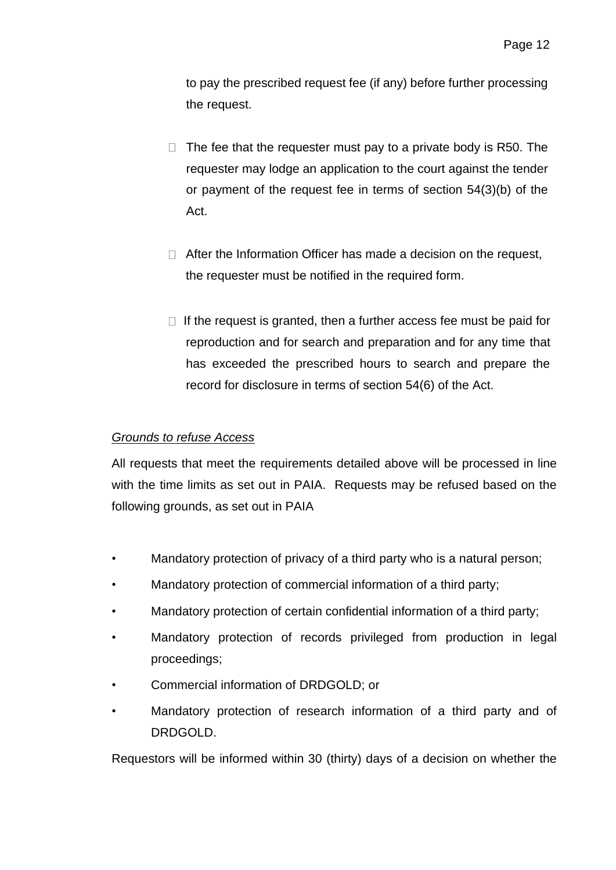to pay the prescribed request fee (if any) before further processing the request.

- $\Box$  The fee that the requester must pay to a private body is R50. The requester may lodge an application to the court against the tender or payment of the request fee in terms of section 54(3)(b) of the Act.
- $\Box$  After the Information Officer has made a decision on the request, the requester must be notified in the required form.
- $\Box$  If the request is granted, then a further access fee must be paid for reproduction and for search and preparation and for any time that has exceeded the prescribed hours to search and prepare the record for disclosure in terms of section 54(6) of the Act.

### *Grounds to refuse Access*

All requests that meet the requirements detailed above will be processed in line with the time limits as set out in PAIA. Requests may be refused based on the following grounds, as set out in PAIA

- Mandatory protection of privacy of a third party who is a natural person;
- Mandatory protection of commercial information of a third party;
- Mandatory protection of certain confidential information of a third party;
- Mandatory protection of records privileged from production in legal proceedings;
- Commercial information of DRDGOLD; or
- Mandatory protection of research information of a third party and of DRDGOLD.

Requestors will be informed within 30 (thirty) days of a decision on whether the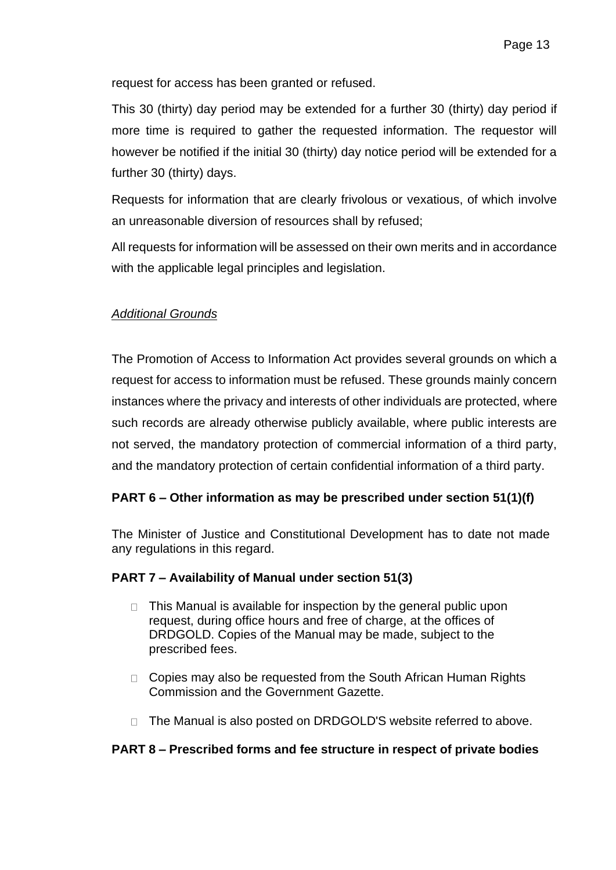request for access has been granted or refused.

This 30 (thirty) day period may be extended for a further 30 (thirty) day period if more time is required to gather the requested information. The requestor will however be notified if the initial 30 (thirty) day notice period will be extended for a further 30 (thirty) days.

Requests for information that are clearly frivolous or vexatious, of which involve an unreasonable diversion of resources shall by refused;

All requests for information will be assessed on their own merits and in accordance with the applicable legal principles and legislation.

## *Additional Grounds*

The Promotion of Access to Information Act provides several grounds on which a request for access to information must be refused. These grounds mainly concern instances where the privacy and interests of other individuals are protected, where such records are already otherwise publicly available, where public interests are not served, the mandatory protection of commercial information of a third party, and the mandatory protection of certain confidential information of a third party.

## **PART 6 – Other information as may be prescribed under section 51(1)(f)**

The Minister of Justice and Constitutional Development has to date not made any regulations in this regard.

#### **PART 7 – Availability of Manual under section 51(3)**

- $\Box$  This Manual is available for inspection by the general public upon request, during office hours and free of charge, at the offices of DRDGOLD. Copies of the Manual may be made, subject to the prescribed fees.
- $\Box$  Copies may also be requested from the South African Human Rights Commission and the Government Gazette.
- □ The Manual is also posted on DRDGOLD'S website referred to above.

#### **PART 8 – Prescribed forms and fee structure in respect of private bodies**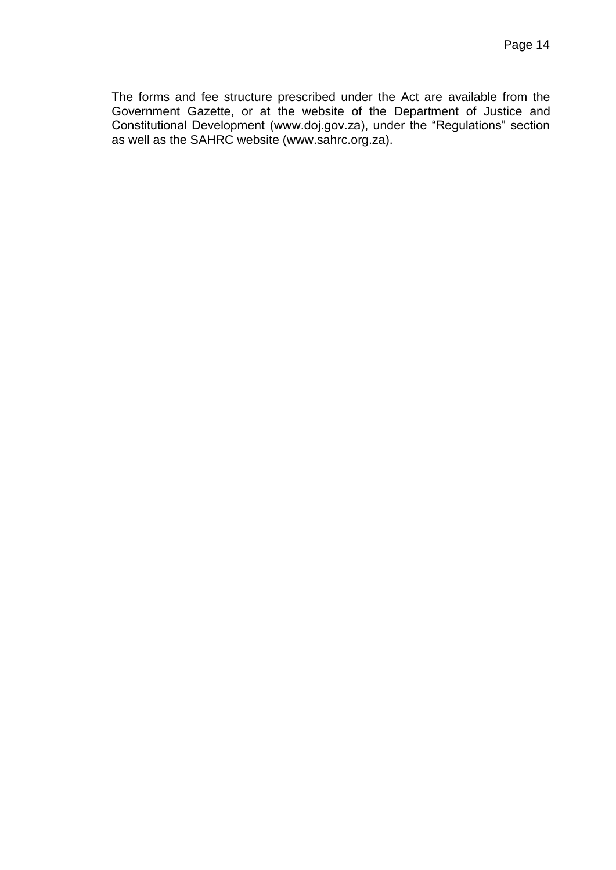The forms and fee structure prescribed under the Act are available from the Government Gazette, or at the website of the Department of Justice and Constitutional Development (www.doj.gov.za), under the "Regulations" section as well as the SAHRC website [\(www.sahrc.org.za\)](http://www.sahrc.org.za/).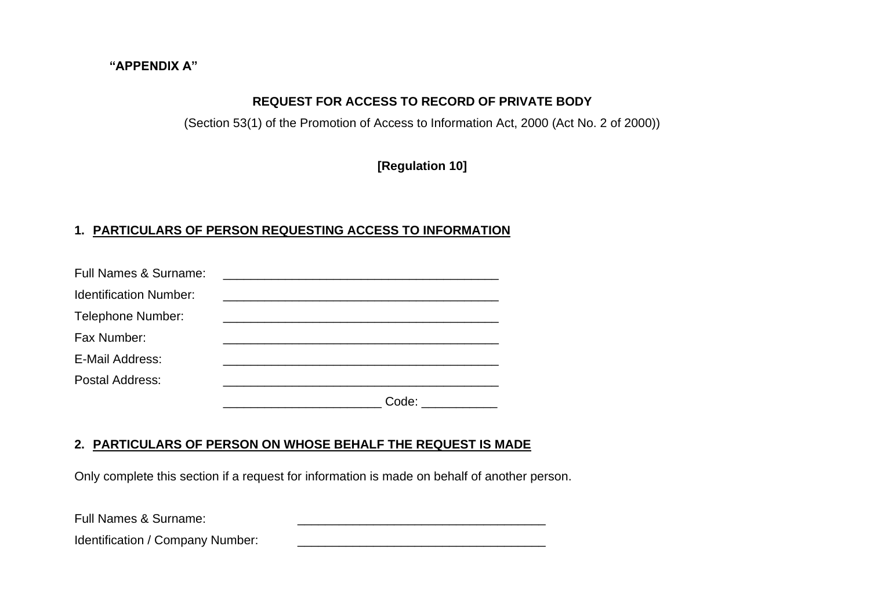#### **"APPENDIX A"**

### **REQUEST FOR ACCESS TO RECORD OF PRIVATE BODY**

(Section 53(1) of the Promotion of Access to Information Act, 2000 (Act No. 2 of 2000))

**[Regulation 10]**

### **1. PARTICULARS OF PERSON REQUESTING ACCESS TO INFORMATION**

| Full Names & Surname:         |       |
|-------------------------------|-------|
| <b>Identification Number:</b> |       |
| <b>Telephone Number:</b>      |       |
| Fax Number:                   |       |
| E-Mail Address:               |       |
| <b>Postal Address:</b>        |       |
|                               | Code: |

### **2. PARTICULARS OF PERSON ON WHOSE BEHALF THE REQUEST IS MADE**

Only complete this section if a request for information is made on behalf of another person.

Full Names & Surname:

Identification / Company Number: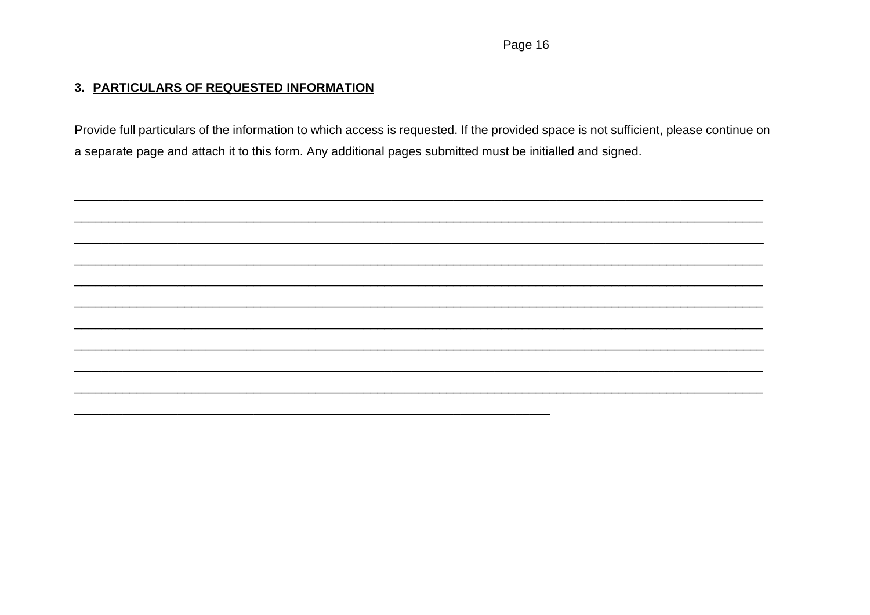### 3. PARTICULARS OF REQUESTED INFORMATION

Provide full particulars of the information to which access is requested. If the provided space is not sufficient, please continue on a separate page and attach it to this form. Any additional pages submitted must be initialled and signed.

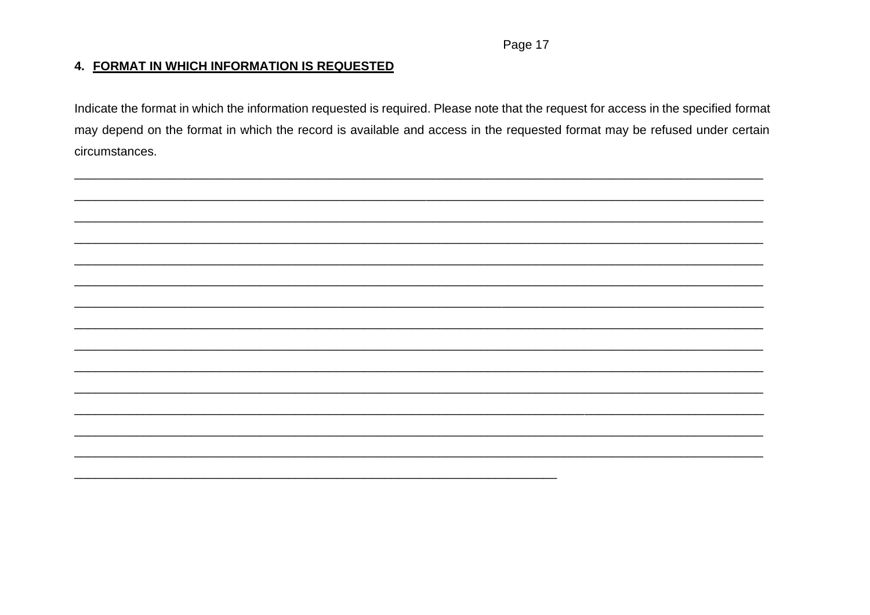Page 17

#### 4. FORMAT IN WHICH INFORMATION IS REQUESTED

Indicate the format in which the information requested is required. Please note that the request for access in the specified format may depend on the format in which the record is available and access in the requested format may be refused under certain circumstances.

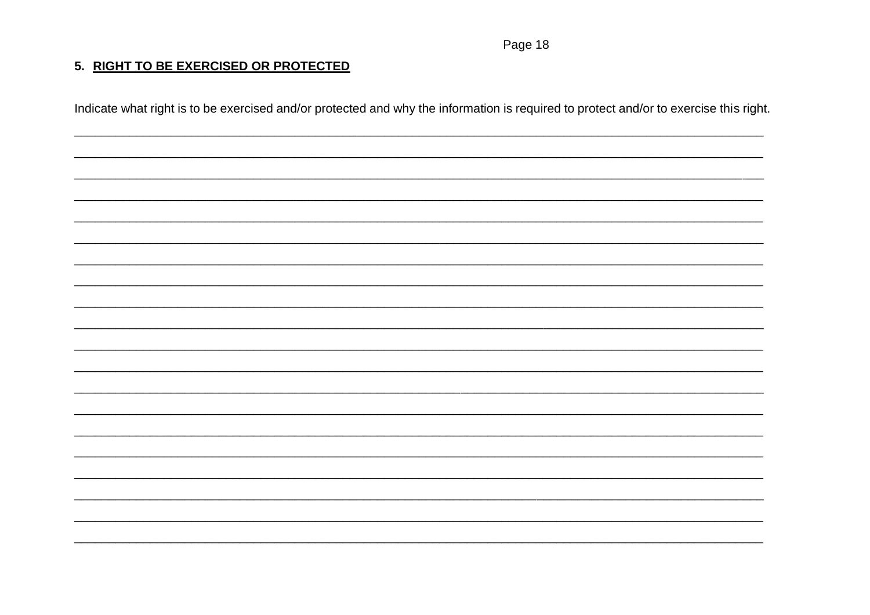Page 18

### 5. RIGHT TO BE EXERCISED OR PROTECTED

Indicate what right is to be exercised and/or protected and why the information is required to protect and/or to exercise this right.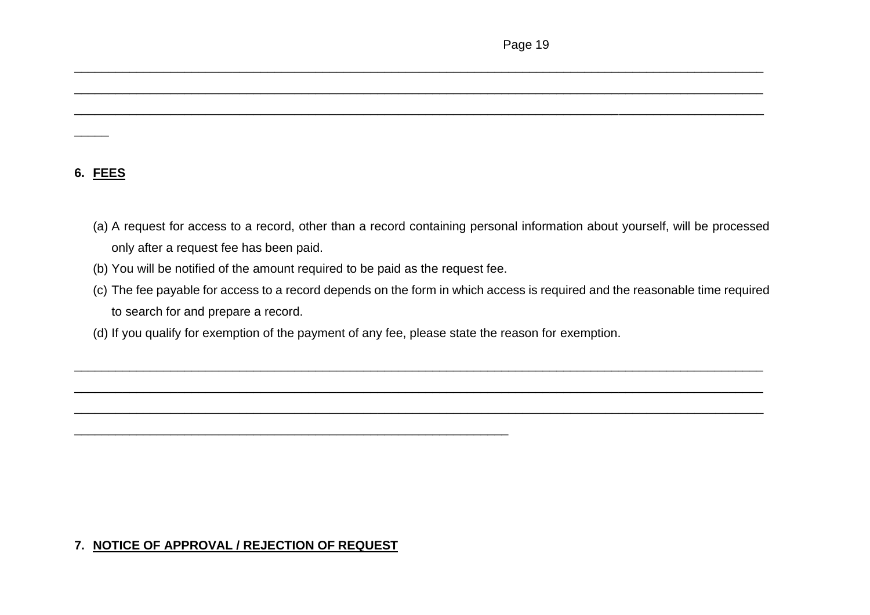### **6. FEES**

 $\overline{\phantom{a}}$ 

(a) A request for access to a record, other than a record containing personal information about yourself, will be processed only after a request fee has been paid.

\_\_\_\_\_\_\_\_\_\_\_\_\_\_\_\_\_\_\_\_\_\_\_\_\_\_\_\_\_\_\_\_\_\_\_\_\_\_\_\_\_\_\_\_\_\_\_\_\_\_\_\_\_\_\_\_\_\_\_\_\_\_\_\_\_\_\_\_\_\_\_\_\_\_\_\_\_\_\_\_\_\_\_\_\_\_\_\_\_\_\_\_\_\_\_\_\_\_\_\_

\_\_\_\_\_\_\_\_\_\_\_\_\_\_\_\_\_\_\_\_\_\_\_\_\_\_\_\_\_\_\_\_\_\_\_\_\_\_\_\_\_\_\_\_\_\_\_\_\_\_\_\_\_\_\_\_\_\_\_\_\_\_\_\_\_\_\_\_\_\_\_\_\_\_\_\_\_\_\_\_\_\_\_\_\_\_\_\_\_\_\_\_\_\_\_\_\_\_\_\_

\_\_\_\_\_\_\_\_\_\_\_\_\_\_\_\_\_\_\_\_\_\_\_\_\_\_\_\_\_\_\_\_\_\_\_\_\_\_\_\_\_\_\_\_\_\_\_\_\_\_\_\_\_\_\_\_\_\_\_\_\_\_\_\_\_\_\_\_\_\_\_\_\_\_\_\_\_\_\_\_\_\_\_\_\_\_\_\_\_\_\_\_\_\_\_\_\_\_\_\_

(b) You will be notified of the amount required to be paid as the request fee.

\_\_\_\_\_\_\_\_\_\_\_\_\_\_\_\_\_\_\_\_\_\_\_\_\_\_\_\_\_\_\_\_\_\_\_\_\_\_\_\_\_\_\_\_\_\_\_\_\_\_\_\_\_\_\_\_\_\_\_\_\_\_\_

(c) The fee payable for access to a record depends on the form in which access is required and the reasonable time required to search for and prepare a record.

\_\_\_\_\_\_\_\_\_\_\_\_\_\_\_\_\_\_\_\_\_\_\_\_\_\_\_\_\_\_\_\_\_\_\_\_\_\_\_\_\_\_\_\_\_\_\_\_\_\_\_\_\_\_\_\_\_\_\_\_\_\_\_\_\_\_\_\_\_\_\_\_\_\_\_\_\_\_\_\_\_\_\_\_\_\_\_\_\_\_\_\_\_\_\_\_\_\_\_\_

\_\_\_\_\_\_\_\_\_\_\_\_\_\_\_\_\_\_\_\_\_\_\_\_\_\_\_\_\_\_\_\_\_\_\_\_\_\_\_\_\_\_\_\_\_\_\_\_\_\_\_\_\_\_\_\_\_\_\_\_\_\_\_\_\_\_\_\_\_\_\_\_\_\_\_\_\_\_\_\_\_\_\_\_\_\_\_\_\_\_\_\_\_\_\_\_\_\_\_\_

\_\_\_\_\_\_\_\_\_\_\_\_\_\_\_\_\_\_\_\_\_\_\_\_\_\_\_\_\_\_\_\_\_\_\_\_\_\_\_\_\_\_\_\_\_\_\_\_\_\_\_\_\_\_\_\_\_\_\_\_\_\_\_\_\_\_\_\_\_\_\_\_\_\_\_\_\_\_\_\_\_\_\_\_\_\_\_\_\_\_\_\_\_\_\_\_\_\_\_\_

(d) If you qualify for exemption of the payment of any fee, please state the reason for exemption.

# **7. NOTICE OF APPROVAL / REJECTION OF REQUEST**